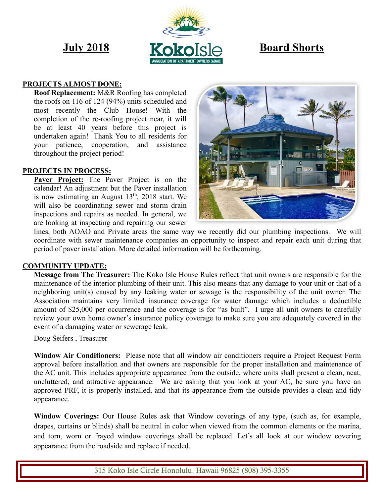

#### **PROJECTS ALMOST DONE:**

**Roof Replacement:** M&R Roofing has completed the roofs on 116 of 124 (94%) units scheduled and most recently the Club House! With the completion of the re-roofing project near, it will be at least 40 years before this project is undertaken again! Thank You to all residents for your patience, cooperation, and assistance throughout the project period!

#### **PROJECTS IN PROCESS:**

**Paver Project:** The Paver Project is on the calendar! An adjustment but the Paver installation is now estimating an August  $13<sup>th</sup>$ , 2018 start. We will also be coordinating sewer and storm drain inspections and repairs as needed. In general, we are looking at inspecting and repairing our sewer



lines, both AOAO and Private areas the same way we recently did our plumbing inspections. We will coordinate with sewer maintenance companies an opportunity to inspect and repair each unit during that period of paver installation. More detailed information will be forthcoming.

#### **COMMUNITY UPDATE:**

**Message from The Treasurer:** The Koko Isle House Rules reflect that unit owners are responsible for the maintenance of the interior plumbing of their unit. This also means that any damage to your unit or that of a neighboring unit(s) caused by any leaking water or sewage is the responsibility of the unit owner. The Association maintains very limited insurance coverage for water damage which includes a deductible amount of \$25,000 per occurrence and the coverage is for "as built". I urge all unit owners to carefully review your own home owner's insurance policy coverage to make sure you are adequately covered in the event of a damaging water or sewerage leak.

Doug Seifers , Treasurer

**Window Air Conditioners:** Please note that all window air conditioners require a Project Request Form approval before installation and that owners are responsible for the proper installation and maintenance of the AC unit. This includes appropriate appearance from the outside, where units shall present a clean, neat, uncluttered, and attractive appearance. We are asking that you look at your AC, be sure you have an approved PRF, it is properly installed, and that its appearance from the outside provides a clean and tidy appearance.

**Window Coverings:** Our House Rules ask that Window coverings of any type, (such as, for example, drapes, curtains or blinds) shall be neutral in color when viewed from the common elements or the marina, and torn, worn or frayed window coverings shall be replaced. Let's all look at our window covering appearance from the roadside and replace if needed.

315 Koko Isle Circle Honolulu, Hawaii 96825 (808) 395-3355